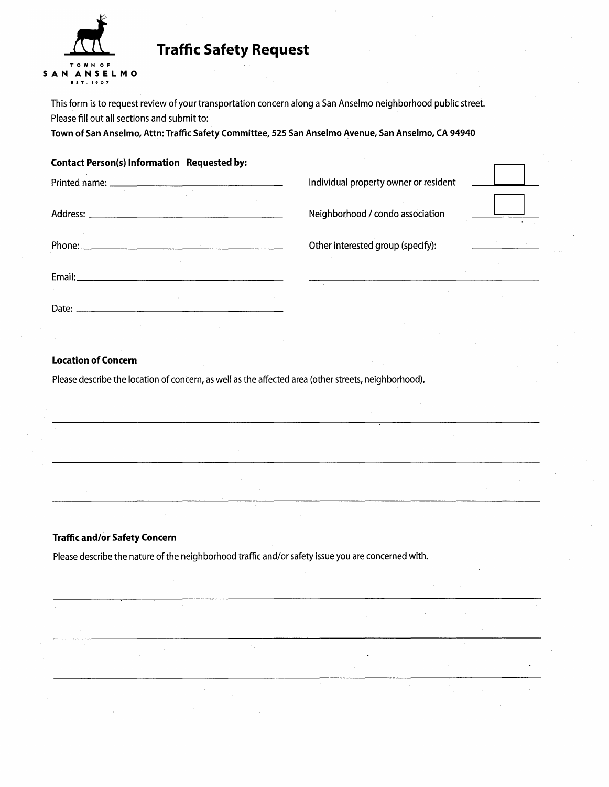

# **Traffic Safety Request**

This form is to request review of your transportation concern along a San Anselmo neighborhood public street. Please fill out all sections and submit to:

Town of San Anselmo, Attn: Traffic Safety Committee, 525 San Anselmo Avenue, San Anselmo, CA 94940

### Contact Person(s) Information Requested by:

|        |                                   | Individual property owner or resident |  |
|--------|-----------------------------------|---------------------------------------|--|
|        | Neighborhood / condo association  |                                       |  |
| Phone: | Other interested group (specify): |                                       |  |
| Email: |                                   |                                       |  |
| Date:  |                                   |                                       |  |

 $\hat{\mathbf{v}}$ 

## Location of Concern

Please describe the location of concern, as well as the affected area (other streets, neighborhood).

#### Traffic and/or Safety Concern

Please describe the nature of the neighborhood traffic and/or safety issue you are concerned with.

Ň.